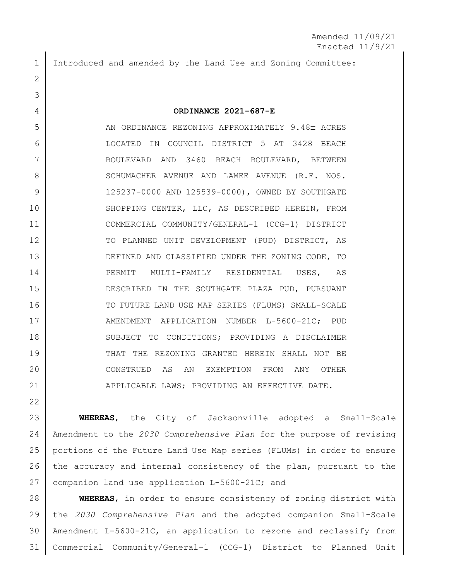1 Introduced and amended by the Land Use and Zoning Committee:

2

3

22

4 **ORDINANCE 2021-687-E**

5 AN ORDINANCE REZONING APPROXIMATELY 9.48± ACRES 6 LOCATED IN COUNCIL DISTRICT 5 AT 3428 BEACH 7 BOULEVARD AND 3460 BEACH BOULEVARD, BETWEEN 8 SCHUMACHER AVENUE AND LAMEE AVENUE (R.E. NOS. 9 125237-0000 AND 125539-0000), OWNED BY SOUTHGATE 10 SHOPPING CENTER, LLC, AS DESCRIBED HEREIN, FROM 11 COMMERCIAL COMMUNITY/GENERAL-1 (CCG-1) DISTRICT 12 | TO PLANNED UNIT DEVELOPMENT (PUD) DISTRICT, AS 13 DEFINED AND CLASSIFIED UNDER THE ZONING CODE, TO 14 PERMIT MULTI-FAMILY RESIDENTIAL USES, AS 15 DESCRIBED IN THE SOUTHGATE PLAZA PUD, PURSUANT 16 TO FUTURE LAND USE MAP SERIES (FLUMS) SMALL-SCALE 17 | AMENDMENT APPLICATION NUMBER L-5600-21C; PUD 18 | SUBJECT TO CONDITIONS; PROVIDING A DISCLAIMER 19 THAT THE REZONING GRANTED HEREIN SHALL NOT BE 20 CONSTRUED AS AN EXEMPTION FROM ANY OTHER 21 | APPLICABLE LAWS; PROVIDING AN EFFECTIVE DATE.

 **WHEREAS**, the City of Jacksonville adopted a Small-Scale Amendment to the *2030 Comprehensive Plan* for the purpose of revising portions of the Future Land Use Map series (FLUMs) in order to ensure 26 the accuracy and internal consistency of the plan, pursuant to the companion land use application L-5600-21C; and

 **WHEREAS**, in order to ensure consistency of zoning district with the *2030 Comprehensive Plan* and the adopted companion Small-Scale Amendment L-5600-21C, an application to rezone and reclassify from Commercial Community/General-1 (CCG-1) District to Planned Unit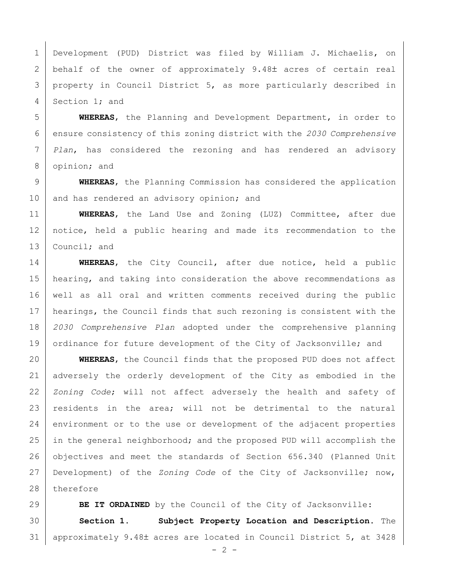Development (PUD) District was filed by William J. Michaelis, on 2 behalf of the owner of approximately 9.48 acres of certain real property in Council District 5, as more particularly described in Section 1; and

 **WHEREAS**, the Planning and Development Department, in order to ensure consistency of this zoning district with the *2030 Comprehensive Plan*, has considered the rezoning and has rendered an advisory 8 opinion; and

 **WHEREAS**, the Planning Commission has considered the application 10 and has rendered an advisory opinion; and

 **WHEREAS**, the Land Use and Zoning (LUZ) Committee, after due notice, held a public hearing and made its recommendation to the 13 Council; and

 **WHEREAS**, the City Council, after due notice, held a public hearing, and taking into consideration the above recommendations as well as all oral and written comments received during the public hearings, the Council finds that such rezoning is consistent with the *2030 Comprehensive Plan* adopted under the comprehensive planning 19 ordinance for future development of the City of Jacksonville; and

 **WHEREAS**, the Council finds that the proposed PUD does not affect adversely the orderly development of the City as embodied in the *Zoning Code*; will not affect adversely the health and safety of 23 residents in the area; will not be detrimental to the natural 24 environment or to the use or development of the adjacent properties 25 in the general neighborhood; and the proposed PUD will accomplish the 26 objectives and meet the standards of Section 656.340 (Planned Unit Development) of the *Zoning Code* of the City of Jacksonville; now, 28 therefore

**BE IT ORDAINED** by the Council of the City of Jacksonville: **Section 1. Subject Property Location and Description.** The 31 | approximately 9.48± acres are located in Council District 5, at 3428

 $- 2 -$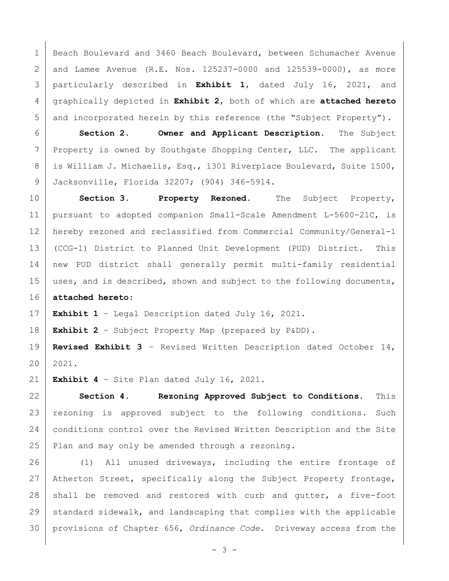Beach Boulevard and 3460 Beach Boulevard, between Schumacher Avenue 2 and Lamee Avenue (R.E. Nos. 125237-0000 and 125539-0000), as more particularly described in **Exhibit 1**, dated July 16, 2021, and graphically depicted in **Exhibit 2**, both of which are **attached hereto** 5 and incorporated herein by this reference (the "Subject Property").

 **Section 2. Owner and Applicant Description.** The Subject 7 Property is owned by Southgate Shopping Center, LLC. The applicant is William J. Michaelis, Esq., 1301 Riverplace Boulevard, Suite 1500, Jacksonville, Florida 32207; (904) 346-5914.

 **Section 3. Property Rezoned.** The Subject Property, pursuant to adopted companion Small-Scale Amendment L-5600-21C, is hereby rezoned and reclassified from Commercial Community/General-1 (CCG-1) District to Planned Unit Development (PUD) District. This new PUD district shall generally permit multi-family residential 15 | uses, and is described, shown and subject to the following documents, **attached hereto**:

**Exhibit 1** – Legal Description dated July 16, 2021.

**Exhibit 2** – Subject Property Map (prepared by P&DD).

 **Revised Exhibit 3** – Revised Written Description dated October 14, 2021.

**Exhibit 4** – Site Plan dated July 16, 2021.

 **Section 4. Rezoning Approved Subject to Conditions.** This rezoning is approved subject to the following conditions. Such 24 | conditions control over the Revised Written Description and the Site 25 Plan and may only be amended through a rezoning.

26 (1) All unused driveways, including the entire frontage of Atherton Street, specifically along the Subject Property frontage, shall be removed and restored with curb and gutter, a five-foot 29 standard sidewalk, and landscaping that complies with the applicable provisions of Chapter 656, *Ordinance Code*. Driveway access from the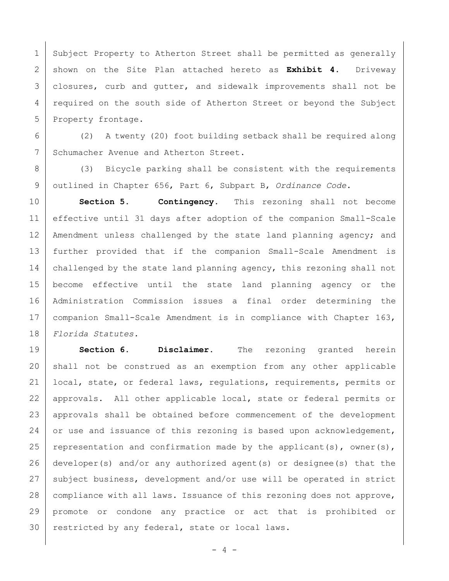1 Subject Property to Atherton Street shall be permitted as generally 2 shown on the Site Plan attached hereto as **Exhibit 4**. Driveway 3 closures, curb and gutter, and sidewalk improvements shall not be 4 | required on the south side of Atherton Street or beyond the Subject 5 Property frontage.

6 (2) A twenty (20) foot building setback shall be required along 7 Schumacher Avenue and Atherton Street.

8 (3) Bicycle parking shall be consistent with the requirements 9 outlined in Chapter 656, Part 6, Subpart B, *Ordinance Code*.

 **Section 5. Contingency.** This rezoning shall not become effective until 31 days after adoption of the companion Small-Scale 12 | Amendment unless challenged by the state land planning agency; and further provided that if the companion Small-Scale Amendment is 14 | challenged by the state land planning agency, this rezoning shall not become effective until the state land planning agency or the Administration Commission issues a final order determining the companion Small-Scale Amendment is in compliance with Chapter 163, *Florida Statutes.*

19 **Section 6. Disclaimer.** The rezoning granted herein 20 shall not be construed as an exemption from any other applicable 21 local, state, or federal laws, regulations, requirements, permits or 22 approvals. All other applicable local, state or federal permits or 23 approvals shall be obtained before commencement of the development 24 or use and issuance of this rezoning is based upon acknowledgement, 25 representation and confirmation made by the applicant(s), owner(s), 26 developer(s) and/or any authorized agent(s) or designee(s) that the 27 | subject business, development and/or use will be operated in strict 28 | compliance with all laws. Issuance of this rezoning does not approve, 29 promote or condone any practice or act that is prohibited or 30 | restricted by any federal, state or local laws.

 $- 4 -$